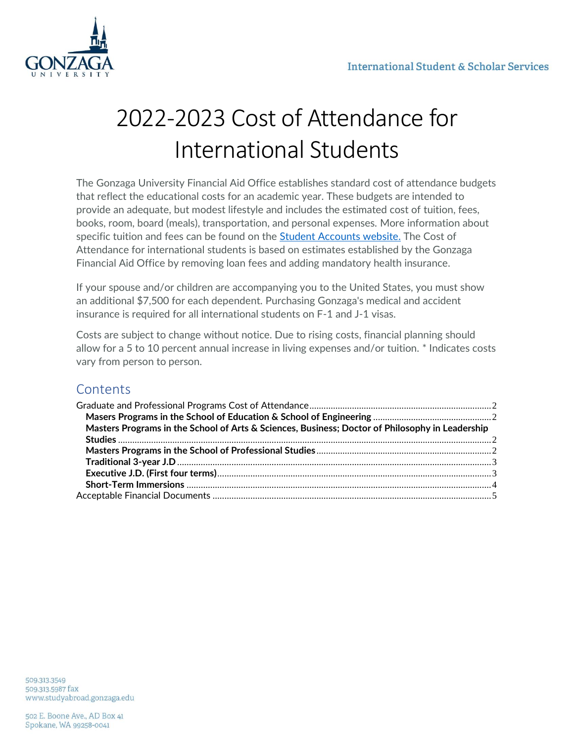

# 2022-2023 Cost of Attendance for International Students

The Gonzaga University Financial Aid Office establishes standard cost of attendance budgets that reflect the educational costs for an academic year. These budgets are intended to provide an adequate, but modest lifestyle and includes the estimated cost of tuition, fees, books, room, board (meals), transportation, and personal expenses. More information about specific tuition and fees can be found on the [Student Accounts website.](https://www.gonzaga.edu/admission/tuition-scholarships-aid/student-accounts/tuition-fees) The Cost of Attendance for international students is based on estimates established by the Gonzaga Financial Aid Office by removing loan fees and adding mandatory health insurance.

If your spouse and/or children are accompanying you to the United States, you must show an additional \$7,500 for each dependent. Purchasing Gonzaga's medical and accident insurance is required for all international students on F-1 and J-1 visas.

Costs are subject to change without notice. Due to rising costs, financial planning should allow for a 5 to 10 percent annual increase in living expenses and/or tuition. \* Indicates costs vary from person to person.

# **Contents**

| Masters Programs in the School of Arts & Sciences, Business; Doctor of Philosophy in Leadership |  |
|-------------------------------------------------------------------------------------------------|--|
|                                                                                                 |  |
|                                                                                                 |  |
|                                                                                                 |  |
|                                                                                                 |  |
|                                                                                                 |  |
|                                                                                                 |  |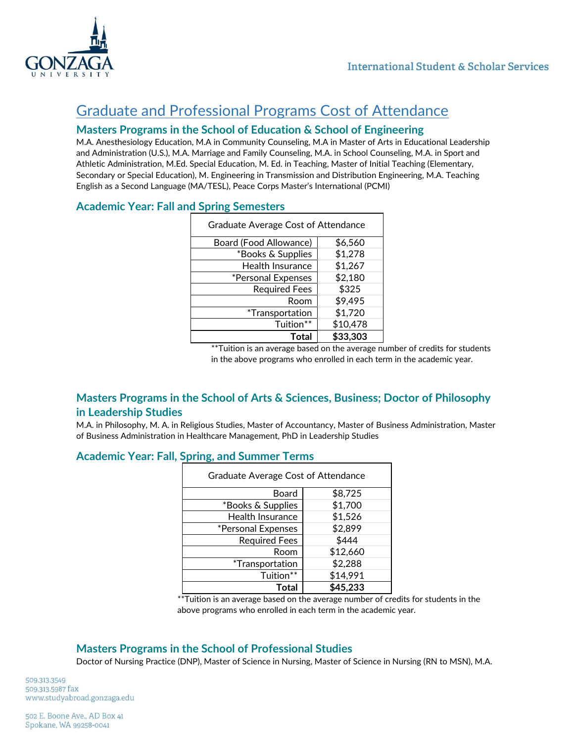

# <span id="page-1-0"></span>Graduate and Professional Programs Cost of Attendance

## <span id="page-1-1"></span>**Masters Programs in the School of Education & School of Engineering**

M.A. Anesthesiology Education, M.A in Community Counseling, M.A in Master of Arts in Educational Leadership and Administration (U.S.), M.A. Marriage and Family Counseling, M.A. in School Counseling, M.A. in Sport and Athletic Administration, M.Ed. Special Education, M. Ed. in Teaching, Master of Initial Teaching (Elementary, Secondary or Special Education), M. Engineering in Transmission and Distribution Engineering, M.A. Teaching English as a Second Language (MA/TESL), Peace Corps Master's International (PCMI)

## **Academic Year: Fall and Spring Semesters**

| <b>Graduate Average Cost of Attendance</b> |          |  |
|--------------------------------------------|----------|--|
| Board (Food Allowance)                     | \$6,560  |  |
| *Books & Supplies                          | \$1,278  |  |
| <b>Health Insurance</b>                    | \$1,267  |  |
| *Personal Expenses                         | \$2,180  |  |
| <b>Required Fees</b>                       | \$325    |  |
| Room                                       | \$9,495  |  |
| <i>*Transportation</i>                     | \$1,720  |  |
| Tuition**                                  | \$10,478 |  |
| Total                                      | \$33,303 |  |

\*\*Tuition is an average based on the average number of credits for students in the above programs who enrolled in each term in the academic year.

### <span id="page-1-2"></span>**Masters Programs in the School of Arts & Sciences, Business; Doctor of Philosophy in Leadership Studies**

M.A. in Philosophy, M. A. in Religious Studies, Master of Accountancy, Master of Business Administration, Master of Business Administration in Healthcare Management, PhD in Leadership Studies

### **Academic Year: Fall, Spring, and Summer Terms**

| Graduate Average Cost of Attendance |          |  |
|-------------------------------------|----------|--|
| Board                               | \$8,725  |  |
| *Books & Supplies                   | \$1,700  |  |
| Health Insurance                    | \$1,526  |  |
| *Personal Expenses                  | \$2,899  |  |
| <b>Required Fees</b>                | \$444    |  |
| Room                                | \$12,660 |  |
| <i>*Transportation</i>              | \$2,288  |  |
| Tuition**                           | \$14,991 |  |
| Total                               | \$45,233 |  |

\*\*Tuition is an average based on the average number of credits for students in the above programs who enrolled in each term in the academic year.

#### <span id="page-1-3"></span>**Masters Programs in the School of Professional Studies**

Doctor of Nursing Practice (DNP), Master of Science in Nursing, Master of Science in Nursing (RN to MSN), M.A.

509.313.3549 509.313.5987 fax www.studyabroad.gonzaga.edu

502 E. Boone Ave., AD Box 41 Spokane, WA 99258-0041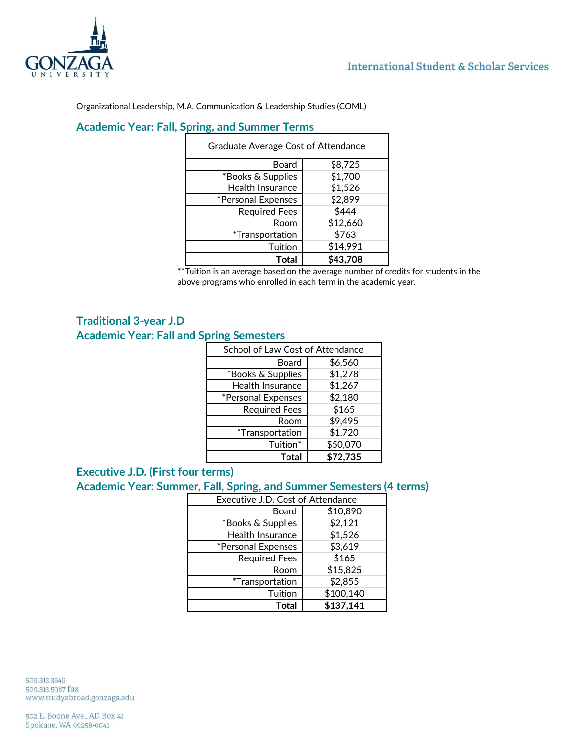

 $\overline{ }$ 

Organizational Leadership, M.A. Communication & Leadership Studies (COML)

# **Academic Year: Fall, Spring, and Summer Terms**

| <b>Graduate Average Cost of Attendance</b> |          |
|--------------------------------------------|----------|
| Board                                      | \$8,725  |
| *Books & Supplies                          | \$1,700  |
| Health Insurance                           | \$1,526  |
| *Personal Expenses                         | \$2,899  |
| <b>Required Fees</b>                       | \$444    |
| Room                                       | \$12,660 |
| <i>*Transportation</i>                     | \$763    |
| Tuition                                    | \$14,991 |
| Total                                      | \$43,708 |

\*\*Tuition is an average based on the average number of credits for students in the above programs who enrolled in each term in the academic year.

## <span id="page-2-0"></span>**Traditional 3-year J.D Academic Year: Fall and Spring Semesters**

| School of Law Cost of Attendance |          |
|----------------------------------|----------|
| Board                            | \$6,560  |
| *Books & Supplies                | \$1,278  |
| Health Insurance                 | \$1,267  |
| *Personal Expenses               | \$2,180  |
| <b>Required Fees</b>             | \$165    |
| Room                             | \$9,495  |
| <i>*Transportation</i>           | \$1,720  |
| Tuition*                         | \$50,070 |
| <b>Total</b>                     | \$72,735 |

## <span id="page-2-1"></span>**Executive J.D. (First four terms)**

## **Academic Year: Summer, Fall, Spring, and Summer Semesters (4 terms)**

| Executive J.D. Cost of Attendance |           |
|-----------------------------------|-----------|
| Board                             | \$10,890  |
| *Books & Supplies                 | \$2,121   |
| Health Insurance                  | \$1,526   |
| *Personal Expenses                | \$3,619   |
| <b>Required Fees</b>              | \$165     |
| Room                              | \$15,825  |
| <i>*Transportation</i>            | \$2,855   |
| Tuition                           | \$100,140 |
| <b>Total</b>                      | \$137,141 |

509.313.3549 509.313.5987 fax www.studyabroad.gonzaga.edu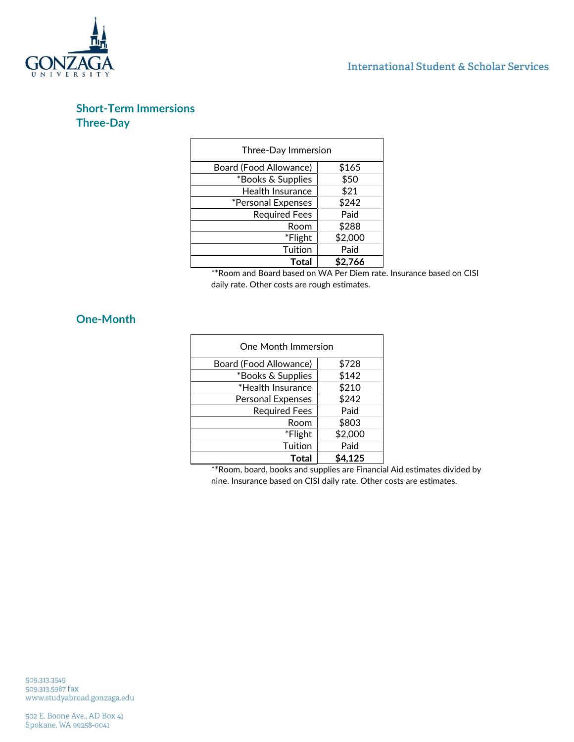



## <span id="page-3-0"></span>**Short-Term Immersions Three-Day**

| Three-Day Immersion    |         |
|------------------------|---------|
| Board (Food Allowance) | \$165   |
| *Books & Supplies      | \$50    |
| Health Insurance       | \$21    |
| *Personal Expenses     | \$242   |
| <b>Required Fees</b>   | Paid    |
| Room                   | \$288   |
| *Flight                | \$2,000 |
| Tuition                | Paid    |
| Total                  | \$2,766 |

\*\*Room and Board based on WA Per Diem rate. Insurance based on CISI daily rate. Other costs are rough estimates.

### **One-Month**

| One Month Immersion      |         |  |
|--------------------------|---------|--|
| Board (Food Allowance)   | \$728   |  |
| *Books & Supplies        | \$142   |  |
| *Health Insurance        | \$210   |  |
| <b>Personal Expenses</b> | \$242   |  |
| <b>Required Fees</b>     | Paid    |  |
| Room                     | \$803   |  |
| *Flight                  | \$2,000 |  |
| Tuition                  | Paid    |  |
| Total                    | \$4,125 |  |

\*\*Room, board, books and supplies are Financial Aid estimates divided by nine. Insurance based on CISI daily rate. Other costs are estimates.

509.313.3549 509.313.5987 fax<br>www.studyabroad.gonzaga.edu

502 E. Boone Ave., AD Box 41 Spokane, WA 99258-0041